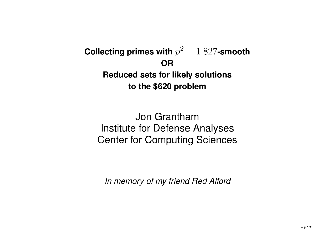#### **Collecting primes with**  $p^2 - 1827$ -smooth **ORReduced sets for likely solutions to the \$620 problem**

Jon GranthamInstitute for Defense Analyses Center for Computing Sciences

In memory of my friend Red Alford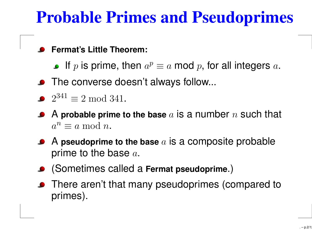### **Probable Primes and Pseudoprimes**

#### **Fermat's Little Theorem:**

- If  $p$  is prime, then  $a^p\equiv a$  mod  $p,$  for all integers  $a.$
- **•** The converse doesn't always follow...
- $2^{341} \equiv 2 \bmod{341}$ .
- A **probable prime to the base** <sup>a</sup> is <sup>a</sup> number <sup>n</sup> such that  $a^n \equiv a \bmod n$ .
- A **pseudoprime to the base** <sup>a</sup> is <sup>a</sup> composite probable prime to the base  $a$ .
- (Sometimes called <sup>a</sup> **Fermat pseudoprime**.)
- There aren't that many pseudoprimes (compared to primes).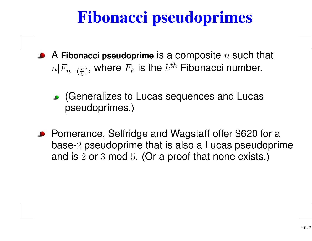# **Fibonacci pseudoprimes**

- A **Fibonacci pseudoprime** is <sup>a</sup> composite <sup>n</sup> such that  $n|F_{n-(\frac{n}{5})},$  where  $F_k$  is the  $k^{th}$  Fibonacci number.
	- (Generalizes to Lucas sequences and Lucas pseudoprimes.)
- Pomerance, Selfridge and Wagstaff offer \$620 for a base-<sup>2</sup> pseudoprime that is also <sup>a</sup> Lucas pseudoprime and is <sup>2</sup> or <sup>3</sup> mod <sup>5</sup>. (Or <sup>a</sup> proof that none exists.)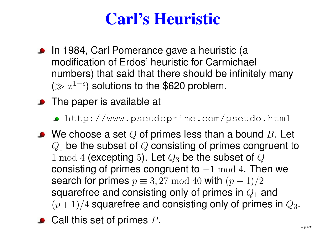## **Carl's Heuristic**

- In 1984, Carl Pomerance gave <sup>a</sup> heuristic (a modification of Erdos' heuristic for Carmichael numbers) that said that there should be infinitely many ( $\gg x^{1-\epsilon}$ ) solutions to the \$620 problem.
- **•** The paper is available at
	- http://www.pseudoprime.com/pseudo.html
- $\bullet\;$  We choose a set Q of primes less than a bound B. Let  $Q_1$  be the subset of  $Q$  consisting of primes congruent to 1 mod 4 (excepting 5). Let  $Q_3$  be the subset of  $Q$ consisting of primes congruent to  $-1 \mod 4$ . Then we search for primes  $p \equiv 3,27 \mod 40$  with  $(p-1)/2$ squarefree and consisting only of primes in  $Q_1$  and  $(p+1)/4$  squarefree and consisting only of primes in  $Q_3$ .
	- Call this set of primes <sup>P</sup>.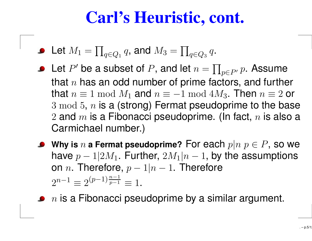#### **Carl's Heuristic, cont.**

- Let  $M_1=\prod_{q\in Q_1}q,$  and  $M_3=\prod_{q\in Q_3}q.$
- Let P' be a subset of P, and let  $n = \prod_{p \in P} p$ . Assume that  $n$  has an odd number of prime factors, and further that  $n\equiv 1\bmod M_1$  and  $n\equiv -1\bmod 4M_3.$  Then  $n\equiv 2$  or  $3 \bmod 5,$   $n$  is a (strong) Fermat pseudoprime to the base  $2$  and  $m$  is a Fibonacci pseudoprime. (In fact,  $n$  is also a Carmichael number.)
- **•** Why is n a Fermat pseudoprime? For each  $p|n \ p \in P$ , so we have  $p-1|2M_1$ . Further,  $2M_1|n-1$ , by the assumptions on *n*. Therefore,  $p - 1|n - 1$ . Therefore  $2^{n-1} \equiv 2^{(p-1)\frac{n-1}{p-1}} \equiv 1$ .

 $\overline{n}$  is a Fibonacci pseudoprime by a similar argument.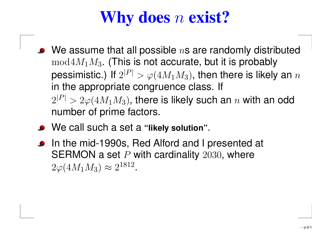# **Why does** <sup>n</sup> **exist?**

- $\bullet$  We assume that all possible ns are randomly distributed  $mod 4M_1M_3$ . (This is not accurate, but it is probably pessimistic.) If  $2^{|P|} > \varphi(4M_1M_3)$ , then there is likely an  $n$ in the appropriate congruence class. If  $2^{|P|} > 2\varphi(4M_1M_3)$ , there is likely such an  $n$  with an odd number of prime factors.
- We call such <sup>a</sup> set <sup>a</sup> **"likely solution"**.
- In the mid-1990s, Red Alford and I presented at SERMON a set  $P$  with cardinality  $2030$ , where  $2\varphi(4M_1M_3) \approx 2^{1812}$ .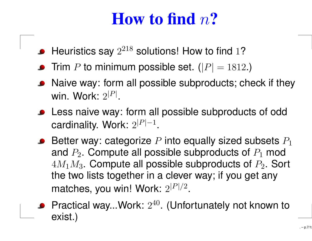### **How to find** <sup>n</sup>**?**

- $\bullet$  Heuristics say  $2^{218}$  solutions! How to find 1?
- Trim  $P$  to minimum possible set.  $(|P|=1812.)$
- Naive way: form all possible subproducts; check if they win. Work:  $2^{\mid P \mid}$ .
- **.** Less naive way: form all possible subproducts of odd cardinality. Work:  $2^{|P|-1}$ .
- **Better way: categorize** P into equally sized subsets  $P_1$ and  $P_2$ . Compute all possible subproducts of  $P_1$  mod  $4M_1M_3$ . Compute all possible subproducts of  $P_2$ . Sort the two lists together in <sup>a</sup> clever way; if you get any matches, you win! Work:  $2^{|P|/2}$ .
- **•** Practical way...Work:  $2^{40}$ . (Unfortunately not known to exist.)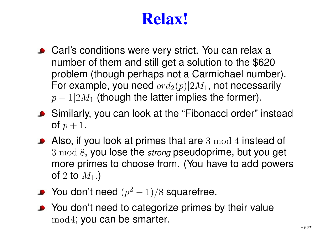## **Relax!**

- Carl's conditions were very strict. You can relax a number of them and still get <sup>a</sup> solution to the \$620 problem (though perhaps not <sup>a</sup> Carmichael number). For example, you need  $ord_2(p)|2M_1$ , not necessarily  $p-1|2M_1$  (though the latter implies the former).
- Similarly, you can look at the "Fibonacci order" instead of  $p+1$ .
- Also, if you look at primes that are 3 mod 4 instead of  $3 \bmod 8$ , you lose the strong pseudoprime, but you get more primes to choose from. (You have to add powers of 2 to  $M_1$ .)
- $\bullet$  You don't need  $(p^2-1)/8$  squarefree.
- You don't need to categorize primes by their value mod4; you can be smarter.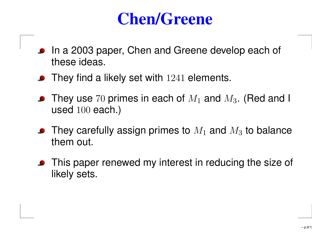#### **Chen/Greene**

- In <sup>a</sup> 2003 paper, Chen and Greene develop each of these ideas.
- They find a likely set with 1241 elements.
- They use 70 primes in each of  $M_1$  and  $M_3$ . (Red and I used 100 each.)
- They carefully assign primes to  $M_1$  and  $M_3$  to balance them out.
- **•** This paper renewed my interest in reducing the size of likely sets.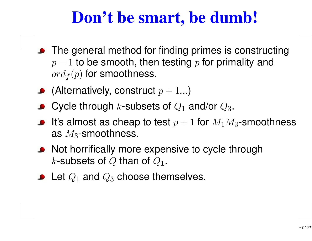### **Don't be smart, be dumb!**

- The general method for finding primes is constructing  $p-1$  to be smooth, then testing p for primality and  $ord_f(p)$  for smoothness.
- (Alternatively, construct  $p+1...$ )
- **Cycle through k-subsets of**  $Q_1$  **and/or**  $Q_3$ **.**
- It's almost as cheap to test  $p+1$  for  $M_1M_3$ -smoothness as  $M_3$ -smoothness.
- Not horrifically more expensive to cycle through k-subsets of Q than of  $Q_1$ .
- $\bullet$  Let  $Q_1$  and  $Q_3$  choose themselves.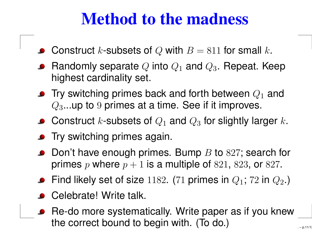### **Method to the madness**

- Construct k-subsets of Q with  $B = 811$  for small k.
- Randomly separate Q into  $Q_1$  and  $Q_3$ . Repeat. Keep highest cardinality set.
- **•** Try switching primes back and forth between  $Q_1$  and  $Q_3$ ...up to 9 primes at a time. See if it improves.
- Construct k-subsets of  $Q_1$  and  $Q_3$  for slightly larger k.
- **•** Try switching primes again.
- $\bullet$  Don't have enough primes. Bump B to 827; search for primes p where  $p + 1$  is a multiple of 821, 823, or 827.
- Find likely set of size 1182. (71 primes in  $Q_1$ ; 72 in  $Q_2$ .)
- Celebrate! Write talk.
- Re-do more systematically. Write paper as if you knew the correct bound to begin with. (To do.)

 –p.11/12